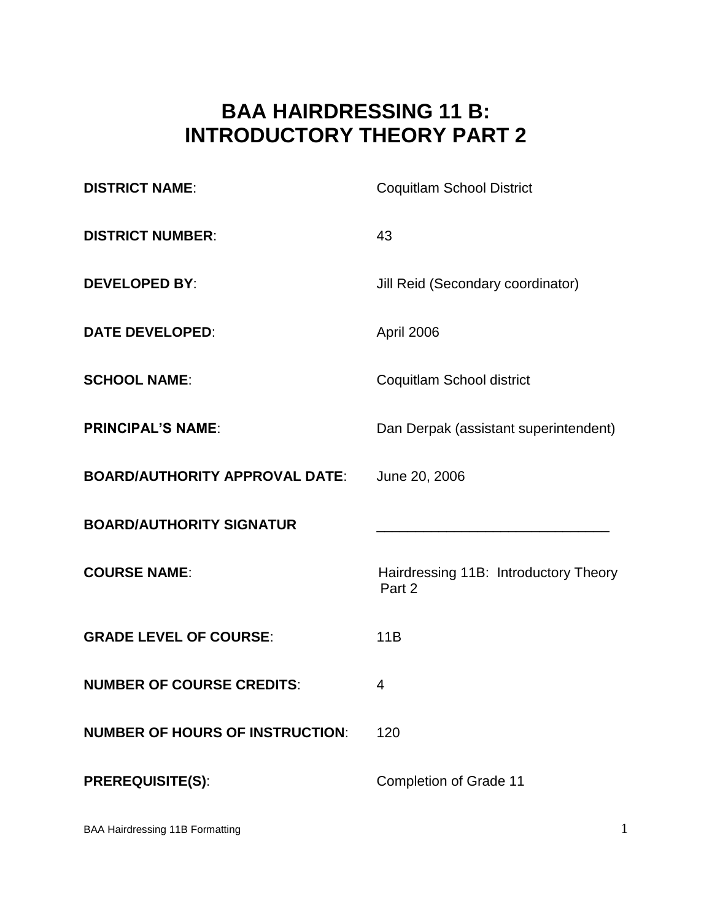# **BAA HAIRDRESSING 11 B: INTRODUCTORY THEORY PART 2**

| <b>DISTRICT NAME:</b>                  | <b>Coquitlam School District</b>                |
|----------------------------------------|-------------------------------------------------|
| <b>DISTRICT NUMBER:</b>                | 43                                              |
| <b>DEVELOPED BY:</b>                   | Jill Reid (Secondary coordinator)               |
| <b>DATE DEVELOPED:</b>                 | April 2006                                      |
| <b>SCHOOL NAME:</b>                    | Coquitlam School district                       |
| <b>PRINCIPAL'S NAME:</b>               | Dan Derpak (assistant superintendent)           |
| <b>BOARD/AUTHORITY APPROVAL DATE:</b>  | June 20, 2006                                   |
| <b>BOARD/AUTHORITY SIGNATUR</b>        |                                                 |
| <b>COURSE NAME:</b>                    | Hairdressing 11B: Introductory Theory<br>Part 2 |
| <b>GRADE LEVEL OF COURSE:</b>          | 11B                                             |
| <b>NUMBER OF COURSE CREDITS:</b>       | 4                                               |
| <b>NUMBER OF HOURS OF INSTRUCTION:</b> | 120                                             |
|                                        |                                                 |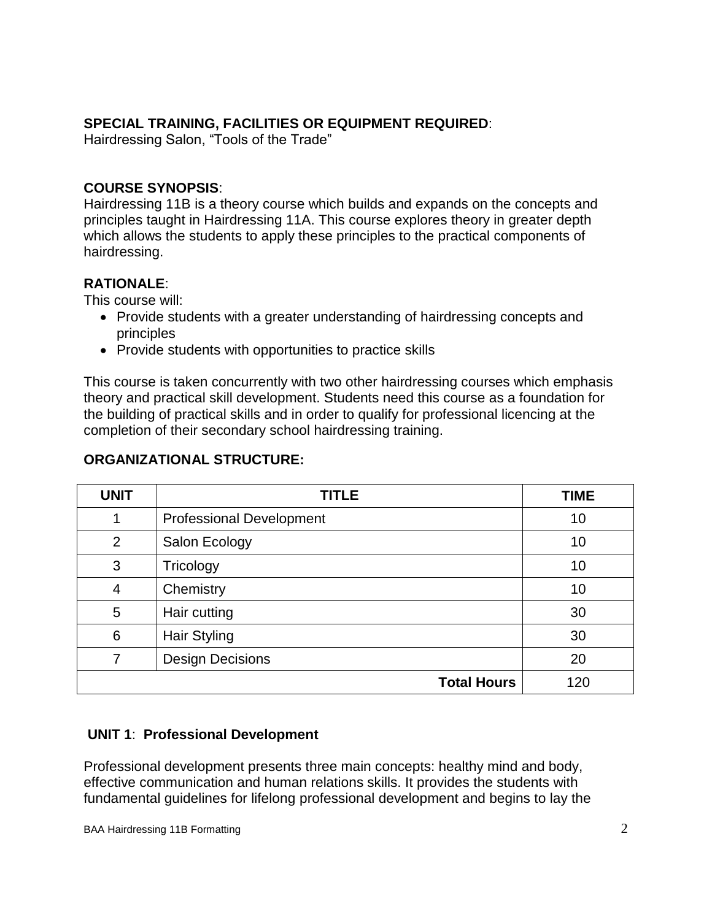### **SPECIAL TRAINING, FACILITIES OR EQUIPMENT REQUIRED**:

Hairdressing Salon, "Tools of the Trade"

### **COURSE SYNOPSIS**:

Hairdressing 11B is a theory course which builds and expands on the concepts and principles taught in Hairdressing 11A. This course explores theory in greater depth which allows the students to apply these principles to the practical components of hairdressing.

### **RATIONALE**:

This course will:

- Provide students with a greater understanding of hairdressing concepts and principles
- Provide students with opportunities to practice skills

This course is taken concurrently with two other hairdressing courses which emphasis theory and practical skill development. Students need this course as a foundation for the building of practical skills and in order to qualify for professional licencing at the completion of their secondary school hairdressing training.

| <b>UNIT</b> | <b>TITLE</b>                    | <b>TIME</b> |
|-------------|---------------------------------|-------------|
| 1           | <b>Professional Development</b> | 10          |
| 2           | Salon Ecology                   | 10          |
| 3           | Tricology                       | 10          |
| 4           | Chemistry                       | 10          |
| 5           | Hair cutting                    | 30          |
| 6           | <b>Hair Styling</b>             | 30          |
| 7           | <b>Design Decisions</b>         | 20          |
|             | <b>Total Hours</b>              | 120         |

#### **ORGANIZATIONAL STRUCTURE:**

### **UNIT 1**: **Professional Development**

Professional development presents three main concepts: healthy mind and body, effective communication and human relations skills. It provides the students with fundamental guidelines for lifelong professional development and begins to lay the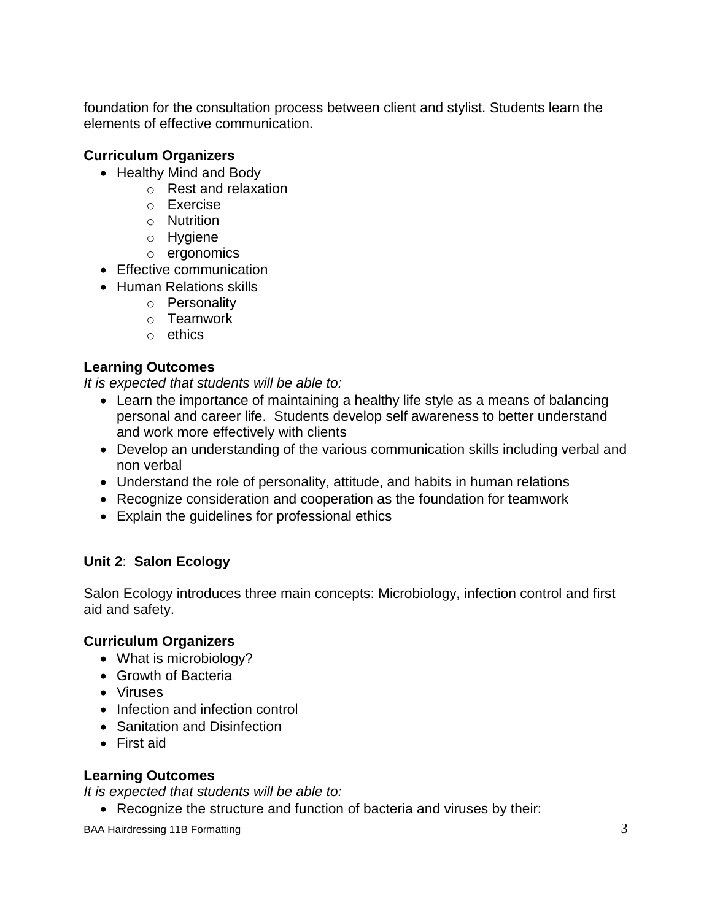foundation for the consultation process between client and stylist. Students learn the elements of effective communication.

# **Curriculum Organizers**

- Healthy Mind and Body
	- o Rest and relaxation
	- o Exercise
	- o Nutrition
	- o Hygiene
	- o ergonomics
- Effective communication
- Human Relations skills
	- o Personality
	- o Teamwork
	- o ethics

# **Learning Outcomes**

*It is expected that students will be able to:*

- Learn the importance of maintaining a healthy life style as a means of balancing personal and career life. Students develop self awareness to better understand and work more effectively with clients
- Develop an understanding of the various communication skills including verbal and non verbal
- Understand the role of personality, attitude, and habits in human relations
- Recognize consideration and cooperation as the foundation for teamwork
- Explain the guidelines for professional ethics

# **Unit 2**: **Salon Ecology**

Salon Ecology introduces three main concepts: Microbiology, infection control and first aid and safety.

# **Curriculum Organizers**

- What is microbiology?
- Growth of Bacteria
- Viruses
- Infection and infection control
- Sanitation and Disinfection
- First aid

# **Learning Outcomes**

*It is expected that students will be able to:*

• Recognize the structure and function of bacteria and viruses by their:

BAA Hairdressing 11B Formatting 3 3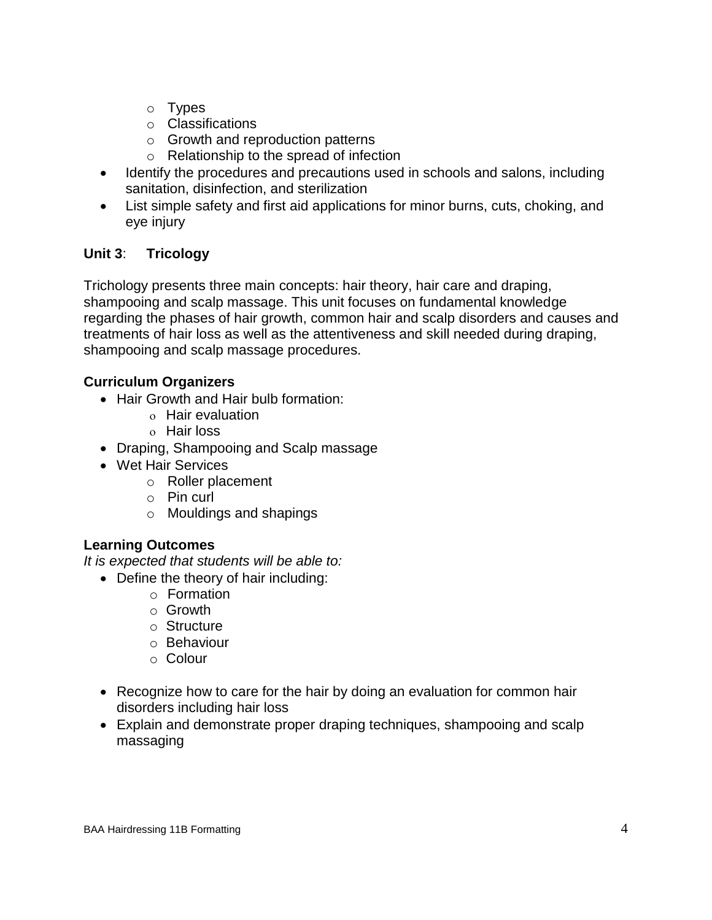- o Types
- o Classifications
- o Growth and reproduction patterns
- o Relationship to the spread of infection
- Identify the procedures and precautions used in schools and salons, including sanitation, disinfection, and sterilization
- List simple safety and first aid applications for minor burns, cuts, choking, and eye injury

# **Unit 3**: **Tricology**

Trichology presents three main concepts: hair theory, hair care and draping, shampooing and scalp massage. This unit focuses on fundamental knowledge regarding the phases of hair growth, common hair and scalp disorders and causes and treatments of hair loss as well as the attentiveness and skill needed during draping, shampooing and scalp massage procedures.

# **Curriculum Organizers**

- Hair Growth and Hair bulb formation:
	- Hair evaluation
	- o Hair loss
- Draping, Shampooing and Scalp massage
- Wet Hair Services
	- o Roller placement
	- o Pin curl
	- o Mouldings and shapings

### **Learning Outcomes**

*It is expected that students will be able to:*

- Define the theory of hair including:
	- o Formation
	- o Growth
	- o Structure
	- o Behaviour
	- o Colour
- Recognize how to care for the hair by doing an evaluation for common hair disorders including hair loss
- Explain and demonstrate proper draping techniques, shampooing and scalp massaging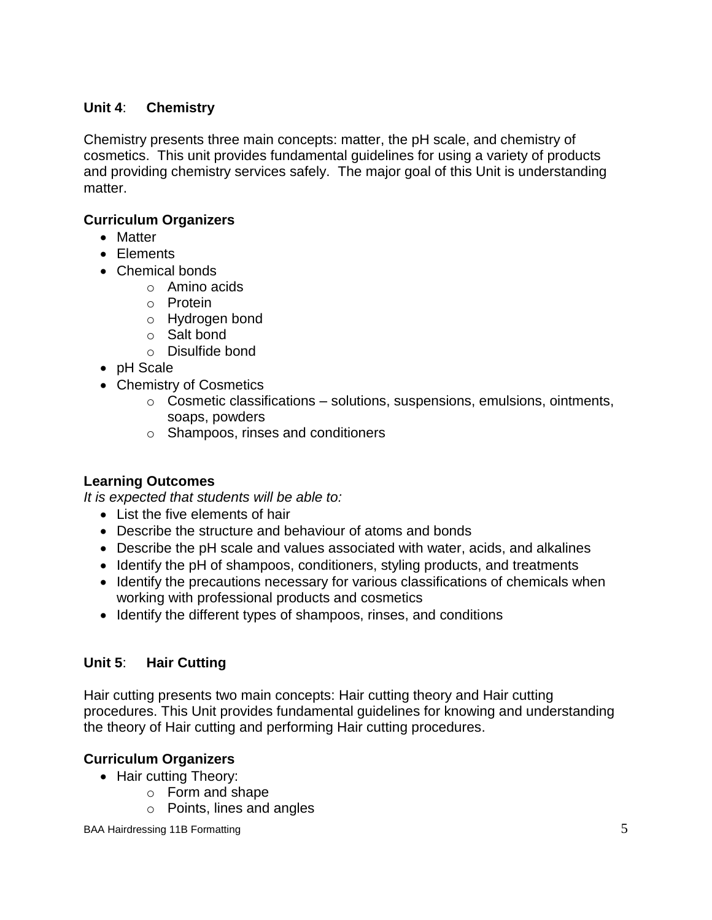### **Unit 4**: **Chemistry**

Chemistry presents three main concepts: matter, the pH scale, and chemistry of cosmetics. This unit provides fundamental guidelines for using a variety of products and providing chemistry services safely. The major goal of this Unit is understanding matter.

### **Curriculum Organizers**

- Matter
- Elements
- Chemical bonds
	- o Amino acids
	- o Protein
	- o Hydrogen bond
	- o Salt bond
	- o Disulfide bond
- pH Scale
- Chemistry of Cosmetics
	- $\circ$  Cosmetic classifications solutions, suspensions, emulsions, ointments, soaps, powders
	- o Shampoos, rinses and conditioners

### **Learning Outcomes**

*It is expected that students will be able to:*

- List the five elements of hair
- Describe the structure and behaviour of atoms and bonds
- Describe the pH scale and values associated with water, acids, and alkalines
- Identify the pH of shampoos, conditioners, styling products, and treatments
- Identify the precautions necessary for various classifications of chemicals when working with professional products and cosmetics
- Identify the different types of shampoos, rinses, and conditions

### **Unit 5**: **Hair Cutting**

Hair cutting presents two main concepts: Hair cutting theory and Hair cutting procedures. This Unit provides fundamental guidelines for knowing and understanding the theory of Hair cutting and performing Hair cutting procedures.

### **Curriculum Organizers**

- Hair cutting Theory:
	- o Form and shape
	- o Points, lines and angles

BAA Hairdressing 11B Formatting 5 5 and 5 and 5 and 5 and 5 and 5 and 5 and 5 and 5 and 5 and 5 and 5 and 5 and 5 and 5 and 5 and 5 and 5 and 5 and 5 and 5 and 5 and 5 and 5 and 5 and 5 and 5 and 5 and 5 and 5 and 5 and 5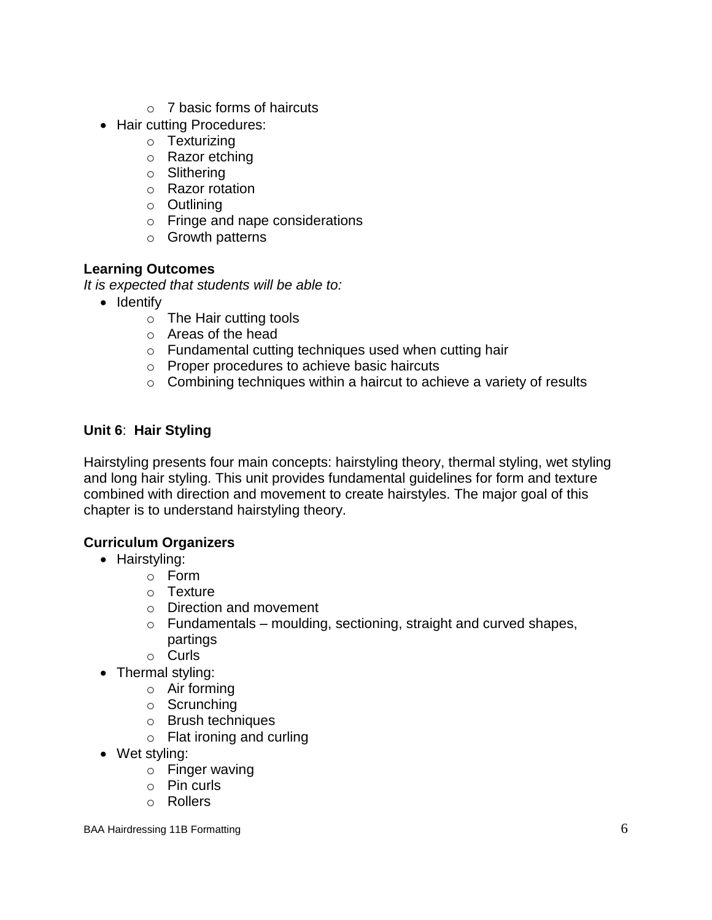- $\circ$  7 basic forms of haircuts
- Hair cutting Procedures:
	- o Texturizing
	- o Razor etching
	- o Slithering
	- o Razor rotation
	- o Outlining
	- o Fringe and nape considerations
	- o Growth patterns

#### **Learning Outcomes**

*It is expected that students will be able to:*

- Identify
	- o The Hair cutting tools
	- o Areas of the head
	- o Fundamental cutting techniques used when cutting hair
	- o Proper procedures to achieve basic haircuts
	- o Combining techniques within a haircut to achieve a variety of results

### **Unit 6**: **Hair Styling**

Hairstyling presents four main concepts: hairstyling theory, thermal styling, wet styling and long hair styling. This unit provides fundamental guidelines for form and texture combined with direction and movement to create hairstyles. The major goal of this chapter is to understand hairstyling theory.

### **Curriculum Organizers**

- Hairstyling:
	- o Form
	- $\circ$  Texture
	- o Direction and movement
	- $\circ$  Fundamentals moulding, sectioning, straight and curved shapes, partings
	- o Curls
- Thermal styling:
	- o Air forming
	- o Scrunching
	- o Brush techniques
	- o Flat ironing and curling
- Wet styling:
	- o Finger waving
	- o Pin curls
	- o Rollers

BAA Hairdressing 11B Formatting 6 and 1990 and 1990 and 1990 and 1990 and 1990 and 1990 and 1990 and 1990 and 1990 and 1990 and 1990 and 1990 and 1990 and 1990 and 1990 and 1990 and 1990 and 1990 and 1990 and 1990 and 1990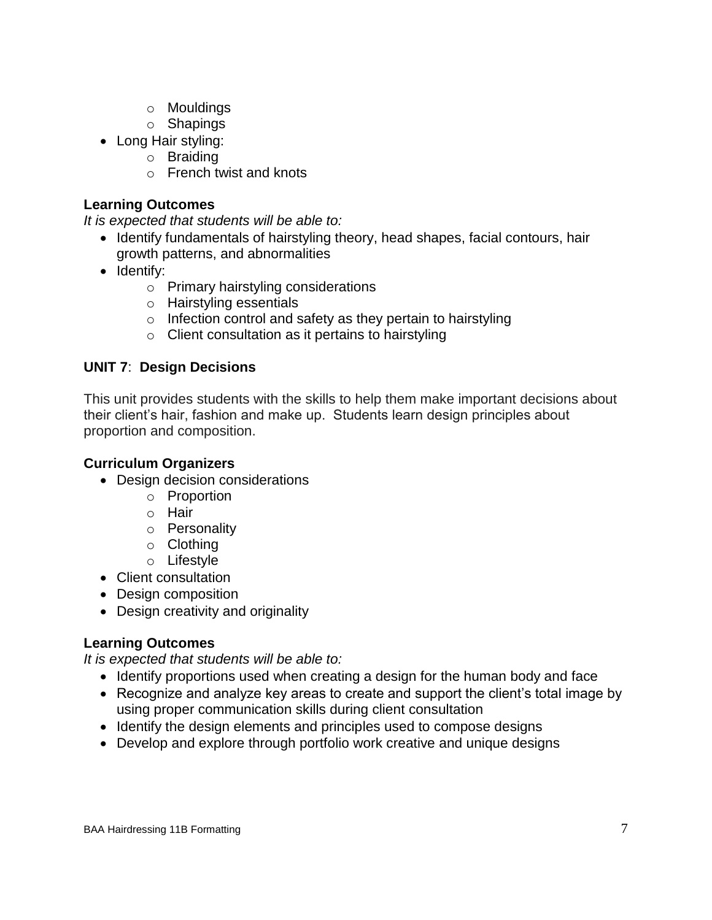- o Mouldings
- o Shapings
- Long Hair styling:
	- o Braiding
	- o French twist and knots

#### **Learning Outcomes**

*It is expected that students will be able to:*

- Identify fundamentals of hairstyling theory, head shapes, facial contours, hair growth patterns, and abnormalities
- Identify:
	- o Primary hairstyling considerations
	- o Hairstyling essentials
	- o Infection control and safety as they pertain to hairstyling
	- $\circ$  Client consultation as it pertains to hairstyling

#### **UNIT 7**: **Design Decisions**

This unit provides students with the skills to help them make important decisions about their client's hair, fashion and make up. Students learn design principles about proportion and composition.

#### **Curriculum Organizers**

- Design decision considerations
	- o Proportion
	- o Hair
	- o Personality
	- o Clothing
	- o Lifestyle
- Client consultation
- Design composition
- Design creativity and originality

### **Learning Outcomes**

*It is expected that students will be able to:*

- Identify proportions used when creating a design for the human body and face
- Recognize and analyze key areas to create and support the client's total image by using proper communication skills during client consultation
- Identify the design elements and principles used to compose designs
- Develop and explore through portfolio work creative and unique designs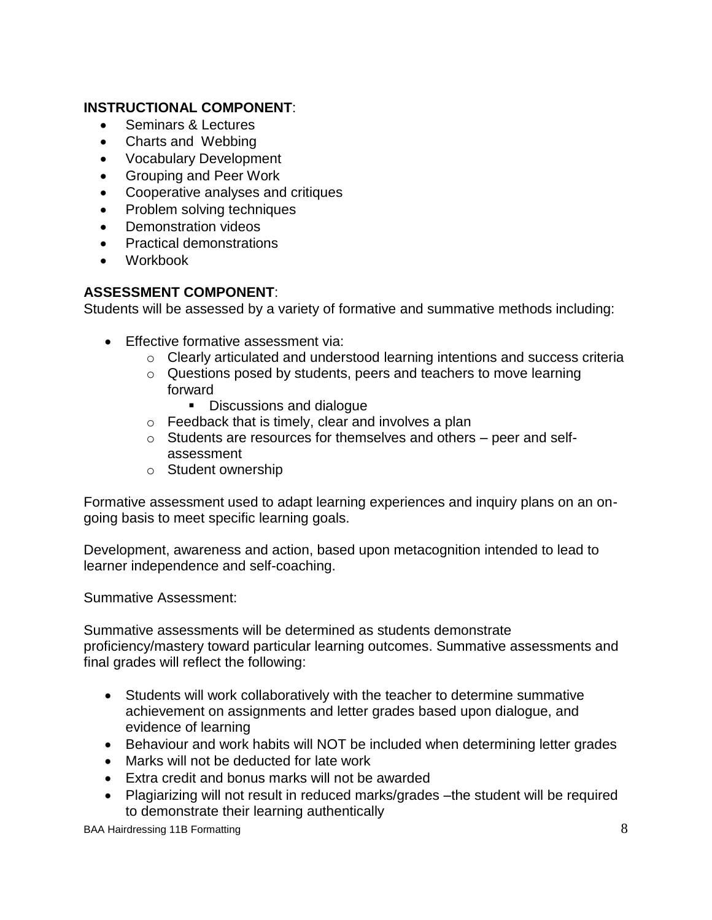#### **INSTRUCTIONAL COMPONENT**:

- Seminars & Lectures
- Charts and Webbing
- Vocabulary Development
- Grouping and Peer Work
- Cooperative analyses and critiques
- Problem solving techniques
- Demonstration videos
- Practical demonstrations
- Workbook

#### **ASSESSMENT COMPONENT**:

Students will be assessed by a variety of formative and summative methods including:

- **Effective formative assessment via:** 
	- o Clearly articulated and understood learning intentions and success criteria
	- o Questions posed by students, peers and teachers to move learning forward
		- Discussions and dialogue
	- o Feedback that is timely, clear and involves a plan
	- o Students are resources for themselves and others peer and selfassessment
	- o Student ownership

Formative assessment used to adapt learning experiences and inquiry plans on an ongoing basis to meet specific learning goals.

Development, awareness and action, based upon metacognition intended to lead to learner independence and self-coaching.

Summative Assessment:

Summative assessments will be determined as students demonstrate proficiency/mastery toward particular learning outcomes. Summative assessments and final grades will reflect the following:

- Students will work collaboratively with the teacher to determine summative achievement on assignments and letter grades based upon dialogue, and evidence of learning
- Behaviour and work habits will NOT be included when determining letter grades
- Marks will not be deducted for late work
- Extra credit and bonus marks will not be awarded
- Plagiarizing will not result in reduced marks/grades –the student will be required to demonstrate their learning authentically

BAA Hairdressing 11B Formatting 8 and 8 and 8 and 8 and 8 and 8 and 8 and 8 and 8 and 8 and 8 and 8 and 8 and 8 and 8 and 8 and 8 and 8 and 8 and 8 and 8 and 8 and 8 and 8 and 8 and 8 and 8 and 8 and 8 and 8 and 8 and 8 an